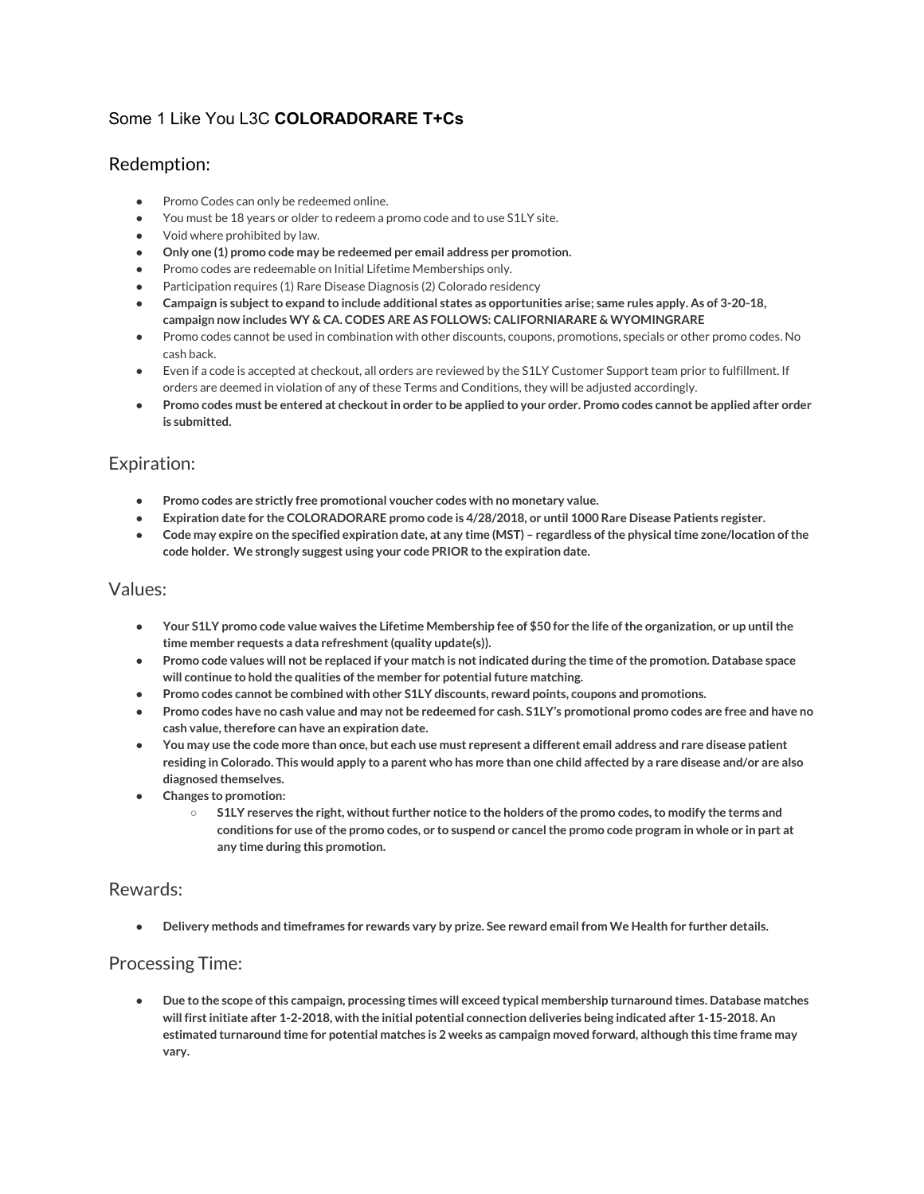# Some 1 Like You L3C **COLORADORARE T+Cs**

### Redemption:

- Promo Codes can only be redeemed online.
- You must be 18 years or older to redeem a promo code and to use S1LY site.
- Void where prohibited by law.
- **Only one (1) promo code may be redeemed per email address per promotion.**
- Promo codes are redeemable on Initial Lifetime Memberships only.
- Participation requires (1) Rare Disease Diagnosis (2) Colorado residency
- Campaign is subject to expand to include additional states as opportunities arise; same rules apply. As of 3-20-18, **campaign now includes WY & CA. CODES ARE AS FOLLOWS: CALIFORNIARARE & WYOMINGRARE**
- Promo codes cannot be used in combination with other discounts, coupons, promotions, specials or other promo codes. No cash back.
- Even if a code is accepted at checkout, all orders are reviewed by the S1LY Customer Support team prior to fulfillment. If orders are deemed in violation of any of these Terms and Conditions, they will be adjusted accordingly.
- Promo codes must be entered at checkout in order to be applied to your order. Promo codes cannot be applied after order **is submitted.**

### Expiration:

- **● Promo codes are strictly free promotional voucher codes with no monetary value.**
- Expiration date for the COLORADORARE promo code is 4/28/2018, or until 1000 Rare Disease Patients register.
- Code may expire on the specified expiration date, at any time (MST) regardless of the physical time zone/location of the **code holder. We strongly suggest using your code PRIOR to the expiration date.**

#### Values:

- Your S1LY promo code value waives the Lifetime Membership fee of \$50 for the life of the organization, or up until the **time member requests a data refreshment(quality update(s)).**
- Promo code values will not be replaced if your match is not indicated during the time of the promotion. Database space **will continue to hold the qualities ofthe member for potential future matching.**
- **● Promo codes cannot be combined with other S1LY discounts, reward points, coupons and promotions.**
- Promo codes have no cash value and may not be redeemed for cash. S1LY's promotional promo codes are free and have no **cash value,therefore can have an expiration date.**
- You may use the code more than once, but each use must represent a different email address and rare disease patient residing in Colorado. This would apply to a parent who has more than one child affected by a rare disease and/or are also **diagnosed themselves.**
- **● Changes to promotion:**
	- $\circ$  S1LY reserves the right, without further notice to the holders of the promo codes, to modify the terms and conditions for use of the promo codes, or to suspend or cancel the promo code program in whole or in part at **any time during this promotion.**

#### Rewards:

Delivery methods and timeframes for rewards vary by prize. See reward email from We Health for further details.

### Processing Time:

Due to the scope of this campaign, processing times will exceed typical membership turnaround times. Database matches **will firstinitiate after 1-2-2018, with the initial potential connection deliveries being indicated after 1-15-2018. An** estimated turnaround time for potential matches is 2 weeks as campaign moved forward, although this time frame may **vary.**